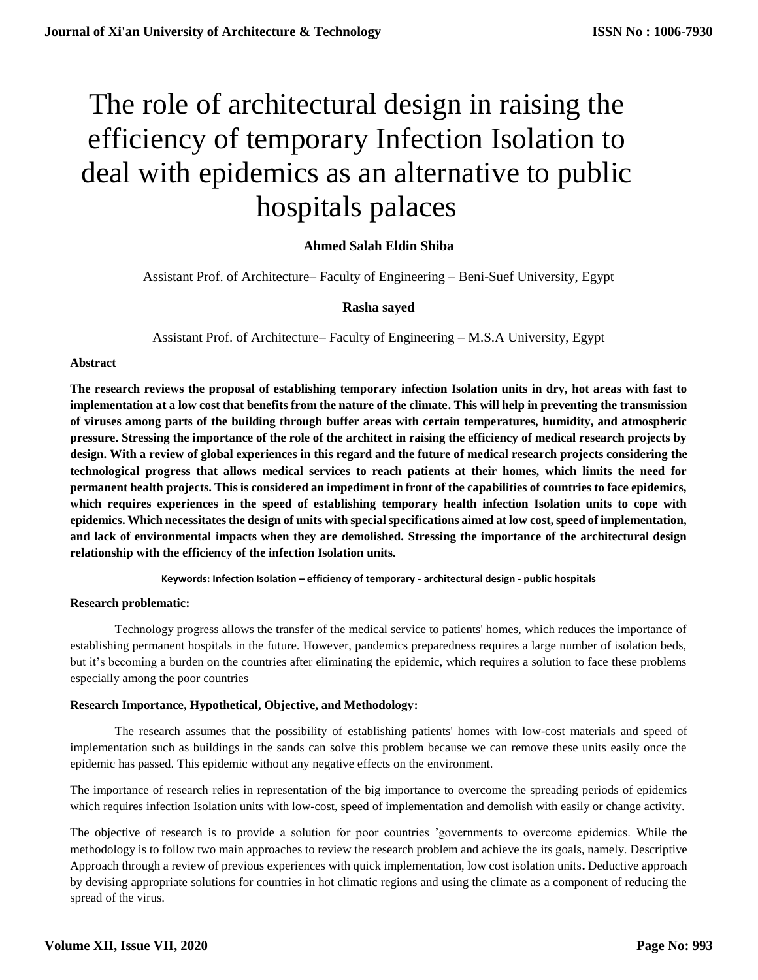# The role of architectural design in raising the efficiency of temporary Infection Isolation to deal with epidemics as an alternative to public hospitals palaces

# **Ahmed Salah Eldin Shiba**

Assistant Prof. of Architecture– Faculty of Engineering – Beni-Suef University, Egypt

# **Rasha sayed**

Assistant Prof. of Architecture– Faculty of Engineering – M.S.A University, Egypt

#### **Abstract**

**The research reviews the proposal of establishing temporary infection Isolation units in dry, hot areas with fast to implementation at a low cost that benefits from the nature of the climate. This will help in preventing the transmission of viruses among parts of the building through buffer areas with certain temperatures, humidity, and atmospheric pressure. Stressing the importance of the role of the architect in raising the efficiency of medical research projects by design. With a review of global experiences in this regard and the future of medical research projects considering the technological progress that allows medical services to reach patients at their homes, which limits the need for permanent health projects. This is considered an impediment in front of the capabilities of countries to face epidemics, which requires experiences in the speed of establishing temporary health infection Isolation units to cope with epidemics. Which necessitates the design of units with special specifications aimed at low cost, speed of implementation, and lack of environmental impacts when they are demolished. Stressing the importance of the architectural design relationship with the efficiency of the infection Isolation units.** 

**Keywords: Infection Isolation – efficiency of temporary - architectural design - public hospitals**

#### **Research problematic:**

Technology progress allows the transfer of the medical service to patients' homes, which reduces the importance of establishing permanent hospitals in the future. However, pandemics preparedness requires a large number of isolation beds, but it's becoming a burden on the countries after eliminating the epidemic, which requires a solution to face these problems especially among the poor countries

## **Research Importance, Hypothetical, Objective, and Methodology:**

The research assumes that the possibility of establishing patients' homes with low-cost materials and speed of implementation such as buildings in the sands can solve this problem because we can remove these units easily once the epidemic has passed. This epidemic without any negative effects on the environment.

The importance of research relies in representation of the big importance to overcome the spreading periods of epidemics which requires infection Isolation units with low-cost, speed of implementation and demolish with easily or change activity.

The objective of research is to provide a solution for poor countries 'governments to overcome epidemics. While the methodology is to follow two main approaches to review the research problem and achieve the its goals, namely. Descriptive Approach through a review of previous experiences with quick implementation, low cost isolation units**.** Deductive approach by devising appropriate solutions for countries in hot climatic regions and using the climate as a component of reducing the spread of the virus.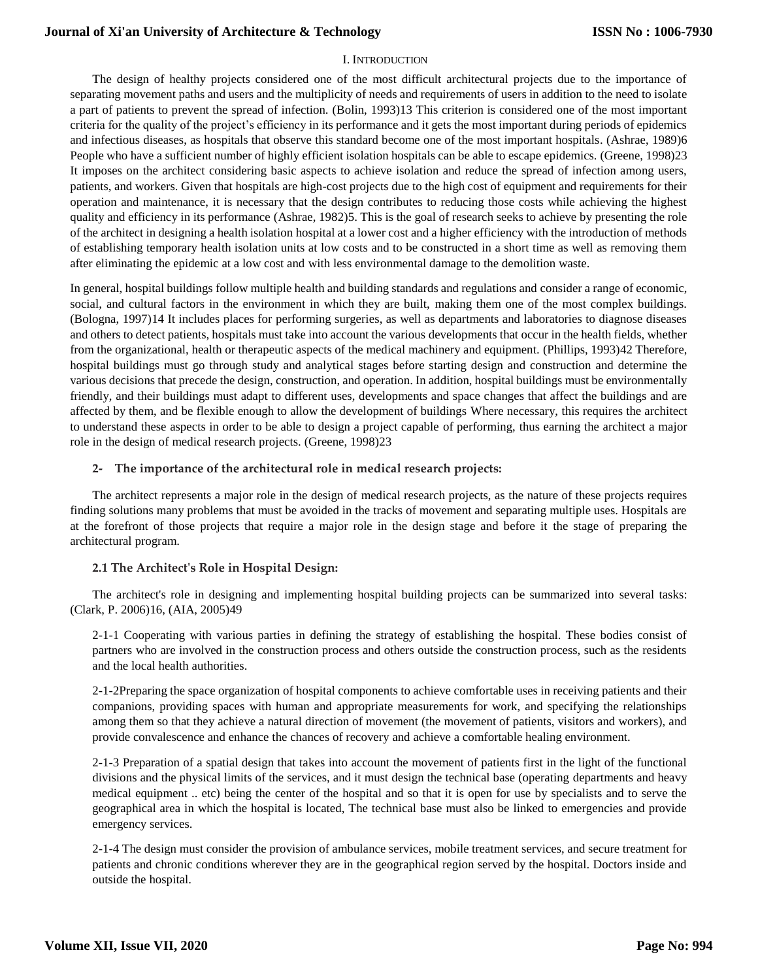## I. INTRODUCTION

The design of healthy projects considered one of the most difficult architectural projects due to the importance of separating movement paths and users and the multiplicity of needs and requirements of users in addition to the need to isolate a part of patients to prevent the spread of infection. (Bolin, 1993)13 This criterion is considered one of the most important criteria for the quality of the project's efficiency in its performance and it gets the most important during periods of epidemics and infectious diseases, as hospitals that observe this standard become one of the most important hospitals. (Ashrae, 1989)6 People who have a sufficient number of highly efficient isolation hospitals can be able to escape epidemics. (Greene, 1998)23 It imposes on the architect considering basic aspects to achieve isolation and reduce the spread of infection among users, patients, and workers. Given that hospitals are high-cost projects due to the high cost of equipment and requirements for their operation and maintenance, it is necessary that the design contributes to reducing those costs while achieving the highest quality and efficiency in its performance (Ashrae, 1982)5. This is the goal of research seeks to achieve by presenting the role of the architect in designing a health isolation hospital at a lower cost and a higher efficiency with the introduction of methods of establishing temporary health isolation units at low costs and to be constructed in a short time as well as removing them after eliminating the epidemic at a low cost and with less environmental damage to the demolition waste.

In general, hospital buildings follow multiple health and building standards and regulations and consider a range of economic, social, and cultural factors in the environment in which they are built, making them one of the most complex buildings. (Bologna, 1997)14 It includes places for performing surgeries, as well as departments and laboratories to diagnose diseases and others to detect patients, hospitals must take into account the various developments that occur in the health fields, whether from the organizational, health or therapeutic aspects of the medical machinery and equipment. (Phillips, 1993)42 Therefore, hospital buildings must go through study and analytical stages before starting design and construction and determine the various decisions that precede the design, construction, and operation. In addition, hospital buildings must be environmentally friendly, and their buildings must adapt to different uses, developments and space changes that affect the buildings and are affected by them, and be flexible enough to allow the development of buildings Where necessary, this requires the architect to understand these aspects in order to be able to design a project capable of performing, thus earning the architect a major role in the design of medical research projects. (Greene, 1998)23

#### **2- The importance of the architectural role in medical research projects:**

The architect represents a major role in the design of medical research projects, as the nature of these projects requires finding solutions many problems that must be avoided in the tracks of movement and separating multiple uses. Hospitals are at the forefront of those projects that require a major role in the design stage and before it the stage of preparing the architectural program.

## **2.1 The Architect's Role in Hospital Design:**

The architect's role in designing and implementing hospital building projects can be summarized into several tasks: (Clark, P. 2006)16, (AIA, 2005)49

2-1-1 Cooperating with various parties in defining the strategy of establishing the hospital. These bodies consist of partners who are involved in the construction process and others outside the construction process, such as the residents and the local health authorities.

2-1-2Preparing the space organization of hospital components to achieve comfortable uses in receiving patients and their companions, providing spaces with human and appropriate measurements for work, and specifying the relationships among them so that they achieve a natural direction of movement (the movement of patients, visitors and workers), and provide convalescence and enhance the chances of recovery and achieve a comfortable healing environment.

2-1-3 Preparation of a spatial design that takes into account the movement of patients first in the light of the functional divisions and the physical limits of the services, and it must design the technical base (operating departments and heavy medical equipment .. etc) being the center of the hospital and so that it is open for use by specialists and to serve the geographical area in which the hospital is located, The technical base must also be linked to emergencies and provide emergency services.

2-1-4 The design must consider the provision of ambulance services, mobile treatment services, and secure treatment for patients and chronic conditions wherever they are in the geographical region served by the hospital. Doctors inside and outside the hospital.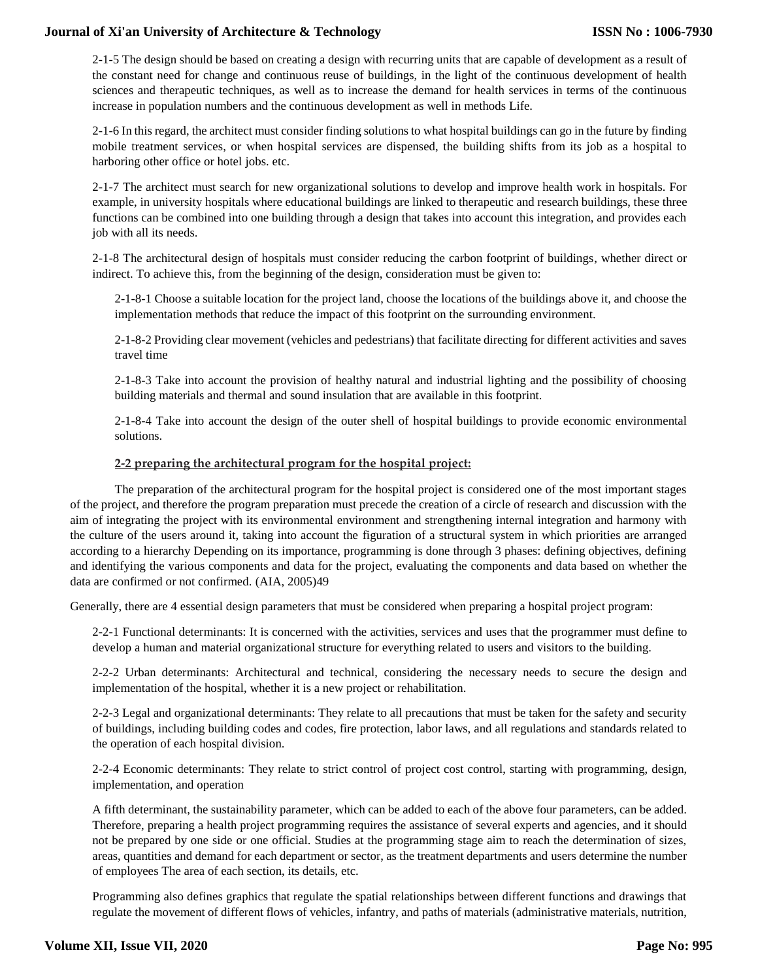2-1-5 The design should be based on creating a design with recurring units that are capable of development as a result of the constant need for change and continuous reuse of buildings, in the light of the continuous development of health sciences and therapeutic techniques, as well as to increase the demand for health services in terms of the continuous increase in population numbers and the continuous development as well in methods Life.

2-1-6 In this regard, the architect must consider finding solutions to what hospital buildings can go in the future by finding mobile treatment services, or when hospital services are dispensed, the building shifts from its job as a hospital to harboring other office or hotel jobs. etc.

2-1-7 The architect must search for new organizational solutions to develop and improve health work in hospitals. For example, in university hospitals where educational buildings are linked to therapeutic and research buildings, these three functions can be combined into one building through a design that takes into account this integration, and provides each job with all its needs.

2-1-8 The architectural design of hospitals must consider reducing the carbon footprint of buildings, whether direct or indirect. To achieve this, from the beginning of the design, consideration must be given to:

2-1-8-1 Choose a suitable location for the project land, choose the locations of the buildings above it, and choose the implementation methods that reduce the impact of this footprint on the surrounding environment.

2-1-8-2 Providing clear movement (vehicles and pedestrians) that facilitate directing for different activities and saves travel time

2-1-8-3 Take into account the provision of healthy natural and industrial lighting and the possibility of choosing building materials and thermal and sound insulation that are available in this footprint.

2-1-8-4 Take into account the design of the outer shell of hospital buildings to provide economic environmental solutions.

#### **2-2 preparing the architectural program for the hospital project:**

The preparation of the architectural program for the hospital project is considered one of the most important stages of the project, and therefore the program preparation must precede the creation of a circle of research and discussion with the aim of integrating the project with its environmental environment and strengthening internal integration and harmony with the culture of the users around it, taking into account the figuration of a structural system in which priorities are arranged according to a hierarchy Depending on its importance, programming is done through 3 phases: defining objectives, defining and identifying the various components and data for the project, evaluating the components and data based on whether the data are confirmed or not confirmed. (AIA, 2005)49

Generally, there are 4 essential design parameters that must be considered when preparing a hospital project program:

2-2-1 Functional determinants: It is concerned with the activities, services and uses that the programmer must define to develop a human and material organizational structure for everything related to users and visitors to the building.

2-2-2 Urban determinants: Architectural and technical, considering the necessary needs to secure the design and implementation of the hospital, whether it is a new project or rehabilitation.

2-2-3 Legal and organizational determinants: They relate to all precautions that must be taken for the safety and security of buildings, including building codes and codes, fire protection, labor laws, and all regulations and standards related to the operation of each hospital division.

2-2-4 Economic determinants: They relate to strict control of project cost control, starting with programming, design, implementation, and operation

A fifth determinant, the sustainability parameter, which can be added to each of the above four parameters, can be added. Therefore, preparing a health project programming requires the assistance of several experts and agencies, and it should not be prepared by one side or one official. Studies at the programming stage aim to reach the determination of sizes, areas, quantities and demand for each department or sector, as the treatment departments and users determine the number of employees The area of each section, its details, etc.

Programming also defines graphics that regulate the spatial relationships between different functions and drawings that regulate the movement of different flows of vehicles, infantry, and paths of materials (administrative materials, nutrition,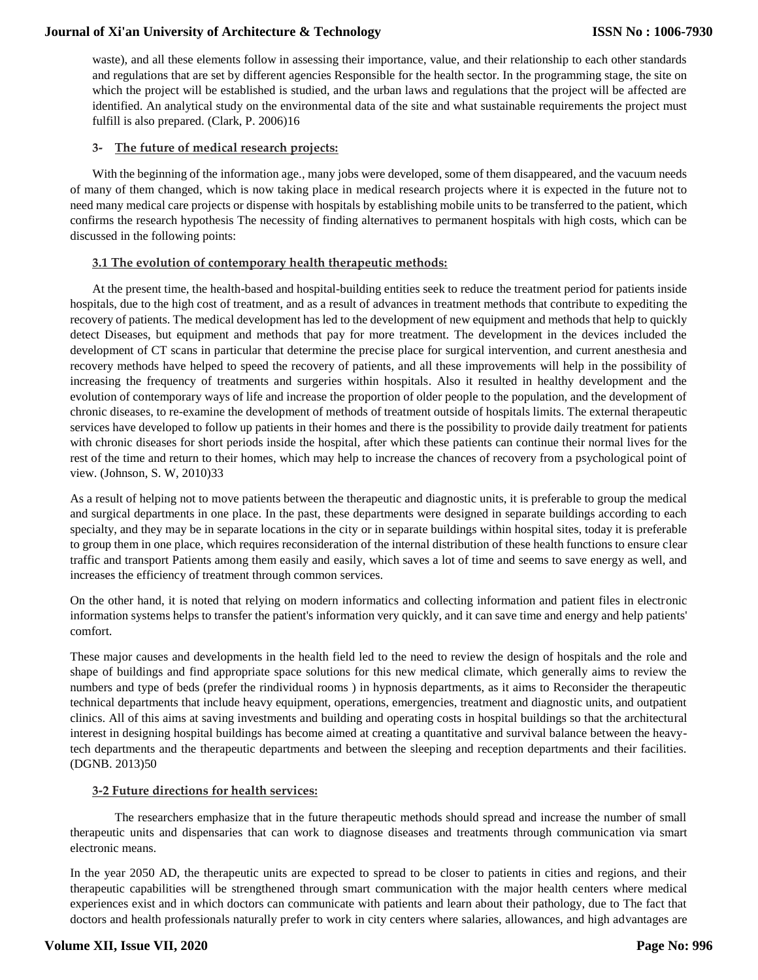waste), and all these elements follow in assessing their importance, value, and their relationship to each other standards and regulations that are set by different agencies Responsible for the health sector. In the programming stage, the site on which the project will be established is studied, and the urban laws and regulations that the project will be affected are identified. An analytical study on the environmental data of the site and what sustainable requirements the project must fulfill is also prepared. (Clark, P. 2006)16

### **3- The future of medical research projects:**

With the beginning of the information age., many jobs were developed, some of them disappeared, and the vacuum needs of many of them changed, which is now taking place in medical research projects where it is expected in the future not to need many medical care projects or dispense with hospitals by establishing mobile units to be transferred to the patient, which confirms the research hypothesis The necessity of finding alternatives to permanent hospitals with high costs, which can be discussed in the following points:

#### **3.1 The evolution of contemporary health therapeutic methods:**

At the present time, the health-based and hospital-building entities seek to reduce the treatment period for patients inside hospitals, due to the high cost of treatment, and as a result of advances in treatment methods that contribute to expediting the recovery of patients. The medical development has led to the development of new equipment and methods that help to quickly detect Diseases, but equipment and methods that pay for more treatment. The development in the devices included the development of CT scans in particular that determine the precise place for surgical intervention, and current anesthesia and recovery methods have helped to speed the recovery of patients, and all these improvements will help in the possibility of increasing the frequency of treatments and surgeries within hospitals. Also it resulted in healthy development and the evolution of contemporary ways of life and increase the proportion of older people to the population, and the development of chronic diseases, to re-examine the development of methods of treatment outside of hospitals limits. The external therapeutic services have developed to follow up patients in their homes and there is the possibility to provide daily treatment for patients with chronic diseases for short periods inside the hospital, after which these patients can continue their normal lives for the rest of the time and return to their homes, which may help to increase the chances of recovery from a psychological point of view. (Johnson, S. W, 2010)33

As a result of helping not to move patients between the therapeutic and diagnostic units, it is preferable to group the medical and surgical departments in one place. In the past, these departments were designed in separate buildings according to each specialty, and they may be in separate locations in the city or in separate buildings within hospital sites, today it is preferable to group them in one place, which requires reconsideration of the internal distribution of these health functions to ensure clear traffic and transport Patients among them easily and easily, which saves a lot of time and seems to save energy as well, and increases the efficiency of treatment through common services.

On the other hand, it is noted that relying on modern informatics and collecting information and patient files in electronic information systems helps to transfer the patient's information very quickly, and it can save time and energy and help patients' comfort.

These major causes and developments in the health field led to the need to review the design of hospitals and the role and shape of buildings and find appropriate space solutions for this new medical climate, which generally aims to review the numbers and type of beds (prefer the rindividual rooms ) in hypnosis departments, as it aims to Reconsider the therapeutic technical departments that include heavy equipment, operations, emergencies, treatment and diagnostic units, and outpatient clinics. All of this aims at saving investments and building and operating costs in hospital buildings so that the architectural interest in designing hospital buildings has become aimed at creating a quantitative and survival balance between the heavytech departments and the therapeutic departments and between the sleeping and reception departments and their facilities. (DGNB. 2013)50

#### **3-2 Future directions for health services:**

The researchers emphasize that in the future therapeutic methods should spread and increase the number of small therapeutic units and dispensaries that can work to diagnose diseases and treatments through communication via smart electronic means.

In the year 2050 AD, the therapeutic units are expected to spread to be closer to patients in cities and regions, and their therapeutic capabilities will be strengthened through smart communication with the major health centers where medical experiences exist and in which doctors can communicate with patients and learn about their pathology, due to The fact that doctors and health professionals naturally prefer to work in city centers where salaries, allowances, and high advantages are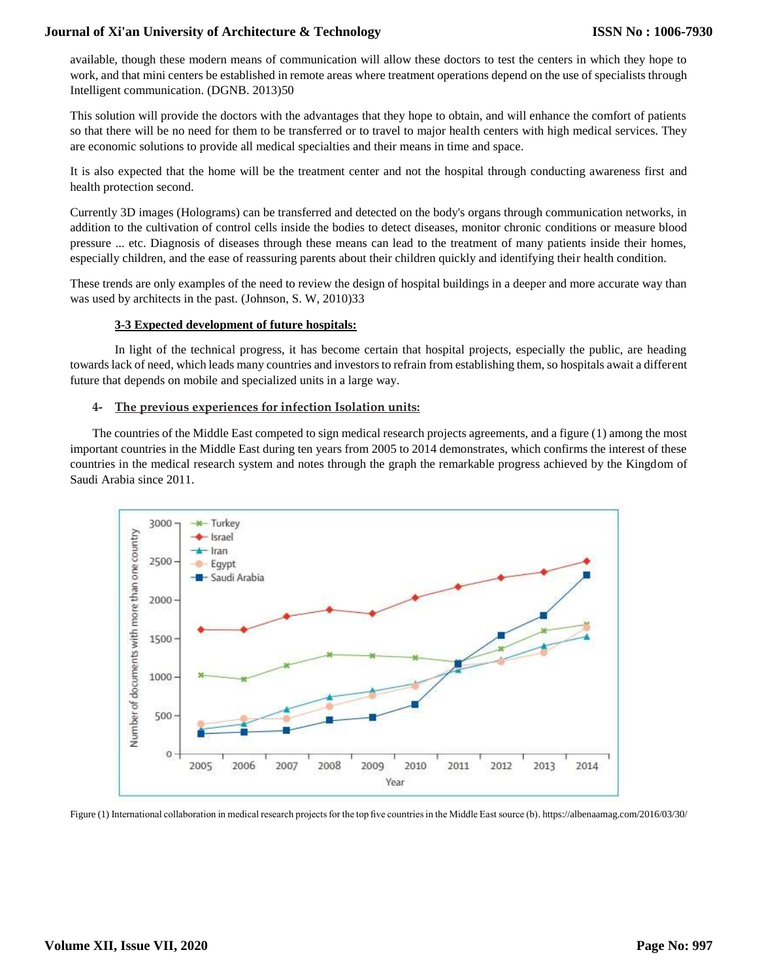available, though these modern means of communication will allow these doctors to test the centers in which they hope to work, and that mini centers be established in remote areas where treatment operations depend on the use of specialists through Intelligent communication. (DGNB. 2013)50

This solution will provide the doctors with the advantages that they hope to obtain, and will enhance the comfort of patients so that there will be no need for them to be transferred or to travel to major health centers with high medical services. They are economic solutions to provide all medical specialties and their means in time and space.

It is also expected that the home will be the treatment center and not the hospital through conducting awareness first and health protection second.

Currently 3D images (Holograms) can be transferred and detected on the body's organs through communication networks, in addition to the cultivation of control cells inside the bodies to detect diseases, monitor chronic conditions or measure blood pressure ... etc. Diagnosis of diseases through these means can lead to the treatment of many patients inside their homes, especially children, and the ease of reassuring parents about their children quickly and identifying their health condition.

These trends are only examples of the need to review the design of hospital buildings in a deeper and more accurate way than was used by architects in the past. (Johnson, S. W, 2010)33

#### **3-3 Expected development of future hospitals:**

In light of the technical progress, it has become certain that hospital projects, especially the public, are heading towards lack of need, which leads many countries and investors to refrain from establishing them, so hospitals await a different future that depends on mobile and specialized units in a large way.

#### **4- The previous experiences for infection Isolation units:**

The countries of the Middle East competed to sign medical research projects agreements, and a figure (1) among the most important countries in the Middle East during ten years from 2005 to 2014 demonstrates, which confirms the interest of these countries in the medical research system and notes through the graph the remarkable progress achieved by the Kingdom of Saudi Arabia since 2011.



Figure (1) International collaboration in medical research projects for the top five countries in the Middle East source (b)[. https://albenaamag.com/2016/03/30/](https://albenaamag.com/2016/03/30/)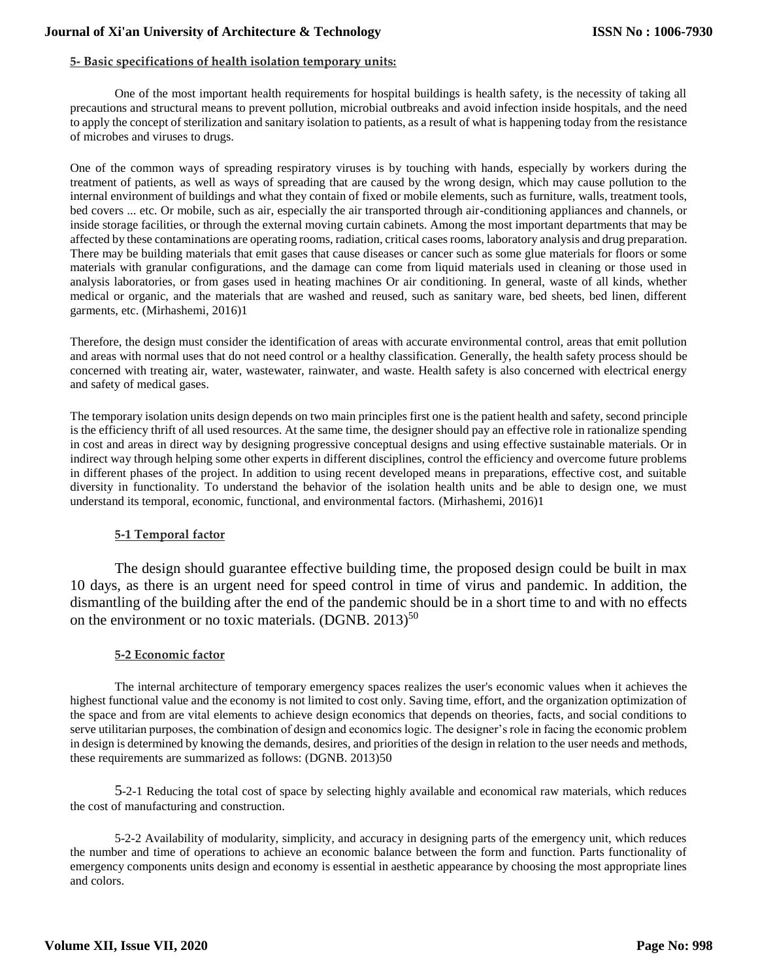## **5- Basic specifications of health isolation temporary units:**

One of the most important health requirements for hospital buildings is health safety, is the necessity of taking all precautions and structural means to prevent pollution, microbial outbreaks and avoid infection inside hospitals, and the need to apply the concept of sterilization and sanitary isolation to patients, as a result of what is happening today from the resistance of microbes and viruses to drugs.

One of the common ways of spreading respiratory viruses is by touching with hands, especially by workers during the treatment of patients, as well as ways of spreading that are caused by the wrong design, which may cause pollution to the internal environment of buildings and what they contain of fixed or mobile elements, such as furniture, walls, treatment tools, bed covers ... etc. Or mobile, such as air, especially the air transported through air-conditioning appliances and channels, or inside storage facilities, or through the external moving curtain cabinets. Among the most important departments that may be affected by these contaminations are operating rooms, radiation, critical cases rooms, laboratory analysis and drug preparation. There may be building materials that emit gases that cause diseases or cancer such as some glue materials for floors or some materials with granular configurations, and the damage can come from liquid materials used in cleaning or those used in analysis laboratories, or from gases used in heating machines Or air conditioning. In general, waste of all kinds, whether medical or organic, and the materials that are washed and reused, such as sanitary ware, bed sheets, bed linen, different garments, etc. (Mirhashemi, 2016)1

Therefore, the design must consider the identification of areas with accurate environmental control, areas that emit pollution and areas with normal uses that do not need control or a healthy classification. Generally, the health safety process should be concerned with treating air, water, wastewater, rainwater, and waste. Health safety is also concerned with electrical energy and safety of medical gases.

The temporary isolation units design depends on two main principles first one is the patient health and safety, second principle is the efficiency thrift of all used resources. At the same time, the designer should pay an effective role in rationalize spending in cost and areas in direct way by designing progressive conceptual designs and using effective sustainable materials. Or in indirect way through helping some other experts in different disciplines, control the efficiency and overcome future problems in different phases of the project. In addition to using recent developed means in preparations, effective cost, and suitable diversity in functionality. To understand the behavior of the isolation health units and be able to design one, we must understand its temporal, economic, functional, and environmental factors. (Mirhashemi, 2016)1

## **5-1 Temporal factor**

The design should guarantee effective building time, the proposed design could be built in max 10 days, as there is an urgent need for speed control in time of virus and pandemic. In addition, the dismantling of the building after the end of the pandemic should be in a short time to and with no effects on the environment or no toxic materials.  $(DGNB, 2013)^{50}$ 

#### **5-2 Economic factor**

The internal architecture of temporary emergency spaces realizes the user's economic values when it achieves the highest functional value and the economy is not limited to cost only. Saving time, effort, and the organization optimization of the space and from are vital elements to achieve design economics that depends on theories, facts, and social conditions to serve utilitarian purposes, the combination of design and economics logic. The designer's role in facing the economic problem in design is determined by knowing the demands, desires, and priorities of the design in relation to the user needs and methods, these requirements are summarized as follows: (DGNB. 2013)50

5-2-1 Reducing the total cost of space by selecting highly available and economical raw materials, which reduces the cost of manufacturing and construction.

5-2-2 Availability of modularity, simplicity, and accuracy in designing parts of the emergency unit, which reduces the number and time of operations to achieve an economic balance between the form and function. Parts functionality of emergency components units design and economy is essential in aesthetic appearance by choosing the most appropriate lines and colors.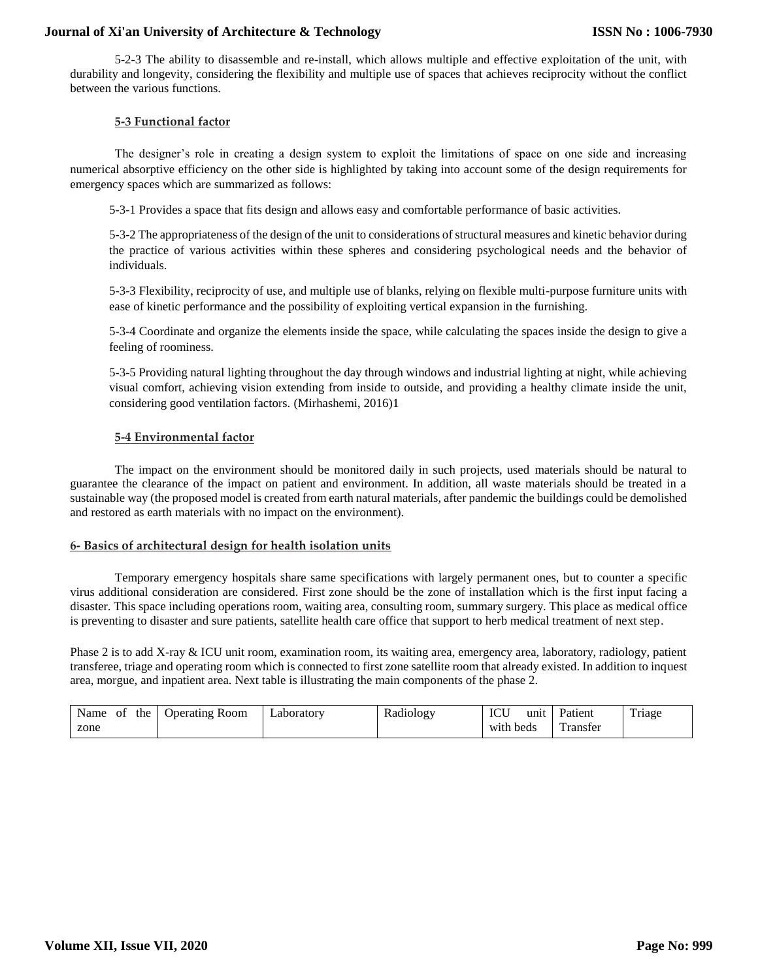5-2-3 The ability to disassemble and re-install, which allows multiple and effective exploitation of the unit, with durability and longevity, considering the flexibility and multiple use of spaces that achieves reciprocity without the conflict between the various functions.

#### **5-3 Functional factor**

The designer's role in creating a design system to exploit the limitations of space on one side and increasing numerical absorptive efficiency on the other side is highlighted by taking into account some of the design requirements for emergency spaces which are summarized as follows:

5-3-1 Provides a space that fits design and allows easy and comfortable performance of basic activities.

5-3-2 The appropriateness of the design of the unit to considerations of structural measures and kinetic behavior during the practice of various activities within these spheres and considering psychological needs and the behavior of individuals.

5-3-3 Flexibility, reciprocity of use, and multiple use of blanks, relying on flexible multi-purpose furniture units with ease of kinetic performance and the possibility of exploiting vertical expansion in the furnishing.

5-3-4 Coordinate and organize the elements inside the space, while calculating the spaces inside the design to give a feeling of roominess.

5-3-5 Providing natural lighting throughout the day through windows and industrial lighting at night, while achieving visual comfort, achieving vision extending from inside to outside, and providing a healthy climate inside the unit, considering good ventilation factors. (Mirhashemi, 2016)1

# **5-4 Environmental factor**

The impact on the environment should be monitored daily in such projects, used materials should be natural to guarantee the clearance of the impact on patient and environment. In addition, all waste materials should be treated in a sustainable way (the proposed model is created from earth natural materials, after pandemic the buildings could be demolished and restored as earth materials with no impact on the environment).

#### **6- Basics of architectural design for health isolation units**

Temporary emergency hospitals share same specifications with largely permanent ones, but to counter a specific virus additional consideration are considered. First zone should be the zone of installation which is the first input facing a disaster. This space including operations room, waiting area, consulting room, summary surgery. This place as medical office is preventing to disaster and sure patients, satellite health care office that support to herb medical treatment of next step.

Phase 2 is to add X-ray & ICU unit room, examination room, its waiting area, emergency area, laboratory, radiology, patient transferee, triage and operating room which is connected to first zone satellite room that already existed. In addition to inquest area, morgue, and inpatient area. Next table is illustrating the main components of the phase 2.

| Name | ΟĪ | the | <b>Operating Room</b> | Laboratory | Radiology | $\Gamma$ $\Gamma$<br>unit<br>1U U | Patient | $\mathbf{m}$ .<br>1 riage |
|------|----|-----|-----------------------|------------|-----------|-----------------------------------|---------|---------------------------|
| zone |    |     |                       |            |           | with beds                         | ranster |                           |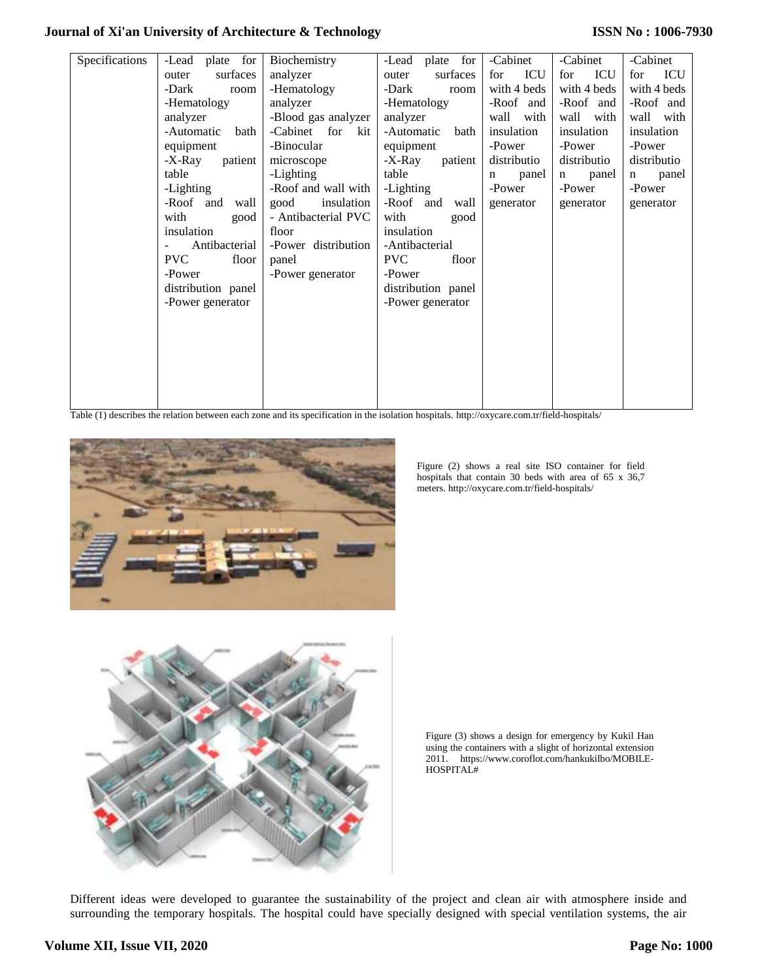## **ISSN No : 1006-7930**

| Specifications | -Lead plate for    | Biochemistry                                                                                                          | -Lead plate for    | -Cabinet    | -Cabinet                        | -Cabinet    |
|----------------|--------------------|-----------------------------------------------------------------------------------------------------------------------|--------------------|-------------|---------------------------------|-------------|
|                | surfaces<br>outer  | analyzer                                                                                                              | surfaces<br>outer  | ICU<br>for  | ICU<br>for                      | ICU<br>for  |
|                | -Dark<br>room      | -Hematology                                                                                                           | -Dark<br>room      | with 4 beds | with 4 beds                     | with 4 beds |
|                | -Hematology        | analyzer                                                                                                              | -Hematology        | -Roof and   | -Roof and                       | -Roof and   |
|                | analyzer           | -Blood gas analyzer                                                                                                   | analyzer           | wall with   | wall<br>with                    | wall with   |
|                | -Automatic<br>bath | -Cabinet for kit                                                                                                      | -Automatic<br>bath | insulation  | insulation                      | insulation  |
|                | equipment          | -Binocular                                                                                                            | equipment          | -Power      | -Power                          | -Power      |
|                | patient<br>-X-Ray  | microscope                                                                                                            | -X-Ray<br>patient  | distributio | distributio                     | distributio |
|                | table              | -Lighting                                                                                                             | table              | panel<br>n  | panel<br>$\mathbf n$            | panel<br>n  |
|                | -Lighting          | -Roof and wall with                                                                                                   | -Lighting          | -Power      | -Power                          | -Power      |
|                | -Roof and<br>wall  | good<br>insulation                                                                                                    | -Roof and<br>wall  | generator   | generator                       | generator   |
|                | with<br>good       | - Antibacterial PVC                                                                                                   | with<br>good       |             |                                 |             |
|                | insulation         | floor                                                                                                                 | insulation         |             |                                 |             |
|                | Antibacterial      | -Power distribution                                                                                                   | -Antibacterial     |             |                                 |             |
|                | PVC<br>floor       | panel                                                                                                                 | PVC<br>floor       |             |                                 |             |
|                | -Power             | -Power generator                                                                                                      | -Power             |             |                                 |             |
|                | distribution panel |                                                                                                                       | distribution panel |             |                                 |             |
|                | -Power generator   |                                                                                                                       | -Power generator   |             |                                 |             |
|                |                    |                                                                                                                       |                    |             |                                 |             |
|                |                    |                                                                                                                       |                    |             |                                 |             |
|                |                    |                                                                                                                       |                    |             |                                 |             |
|                |                    |                                                                                                                       |                    |             |                                 |             |
|                |                    |                                                                                                                       |                    |             |                                 |             |
|                |                    |                                                                                                                       |                    |             |                                 |             |
|                |                    | Total (1) december des orterios beroceses es de consecut respectively des des incluitos becomptede term ((consecuted) |                    |             | $4.423 - 1.3$ $1.4 - 1.4 + 1.1$ |             |

Table (1) describes the relation between each zone and its specification in the isolation hospitals[. http://oxycare.com.tr/field-hospitals/](http://oxycare.com.tr/field-hospitals/)



Figure (2) shows a real site ISO container for field hospitals that contain 30 beds with area of 65 x 36,7 meters[. http://oxycare.com.tr/field-hospitals/](http://oxycare.com.tr/field-hospitals/)



Figure (3) shows a design for emergency by Kukil Han using the containers with a slight of horizontal extension 2011. [https://www.coroflot.com/hankukilbo/MOBILE-](https://www.coroflot.com/hankukilbo/MOBILE-HOSPITAL)[HOSPITAL#](https://www.coroflot.com/hankukilbo/MOBILE-HOSPITAL)

Different ideas were developed to guarantee the sustainability of the project and clean air with atmosphere inside and surrounding the temporary hospitals. The hospital could have specially designed with special ventilation systems, the air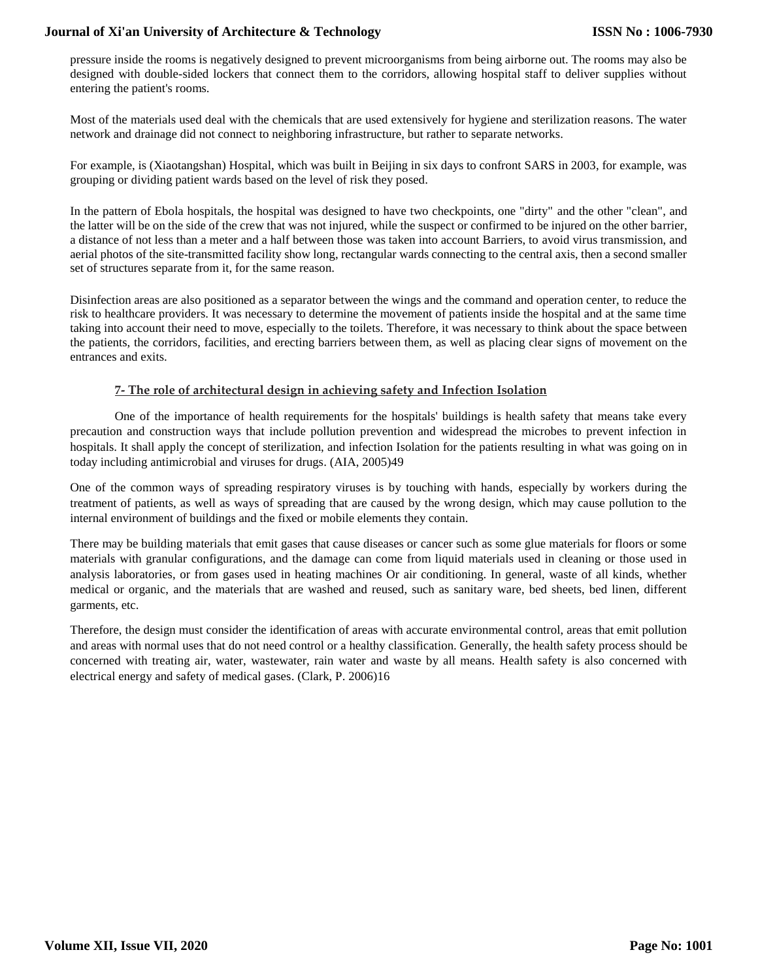pressure inside the rooms is negatively designed to prevent microorganisms from being airborne out. The rooms may also be designed with double-sided lockers that connect them to the corridors, allowing hospital staff to deliver supplies without entering the patient's rooms.

Most of the materials used deal with the chemicals that are used extensively for hygiene and sterilization reasons. The water network and drainage did not connect to neighboring infrastructure, but rather to separate networks.

For example, is (Xiaotangshan) Hospital, which was built in Beijing in six days to confront SARS in 2003, for example, was grouping or dividing patient wards based on the level of risk they posed.

In the pattern of Ebola hospitals, the hospital was designed to have two checkpoints, one "dirty" and the other "clean", and the latter will be on the side of the crew that was not injured, while the suspect or confirmed to be injured on the other barrier, a distance of not less than a meter and a half between those was taken into account Barriers, to avoid virus transmission, and aerial photos of the site-transmitted facility show long, rectangular wards connecting to the central axis, then a second smaller set of structures separate from it, for the same reason.

Disinfection areas are also positioned as a separator between the wings and the command and operation center, to reduce the risk to healthcare providers. It was necessary to determine the movement of patients inside the hospital and at the same time taking into account their need to move, especially to the toilets. Therefore, it was necessary to think about the space between the patients, the corridors, facilities, and erecting barriers between them, as well as placing clear signs of movement on the entrances and exits.

## **7- The role of architectural design in achieving safety and Infection Isolation**

One of the importance of health requirements for the hospitals' buildings is health safety that means take every precaution and construction ways that include pollution prevention and widespread the microbes to prevent infection in hospitals. It shall apply the concept of sterilization, and infection Isolation for the patients resulting in what was going on in today including antimicrobial and viruses for drugs. (AIA, 2005)49

One of the common ways of spreading respiratory viruses is by touching with hands, especially by workers during the treatment of patients, as well as ways of spreading that are caused by the wrong design, which may cause pollution to the internal environment of buildings and the fixed or mobile elements they contain.

There may be building materials that emit gases that cause diseases or cancer such as some glue materials for floors or some materials with granular configurations, and the damage can come from liquid materials used in cleaning or those used in analysis laboratories, or from gases used in heating machines Or air conditioning. In general, waste of all kinds, whether medical or organic, and the materials that are washed and reused, such as sanitary ware, bed sheets, bed linen, different garments, etc.

Therefore, the design must consider the identification of areas with accurate environmental control, areas that emit pollution and areas with normal uses that do not need control or a healthy classification. Generally, the health safety process should be concerned with treating air, water, wastewater, rain water and waste by all means. Health safety is also concerned with electrical energy and safety of medical gases. (Clark, P. 2006)16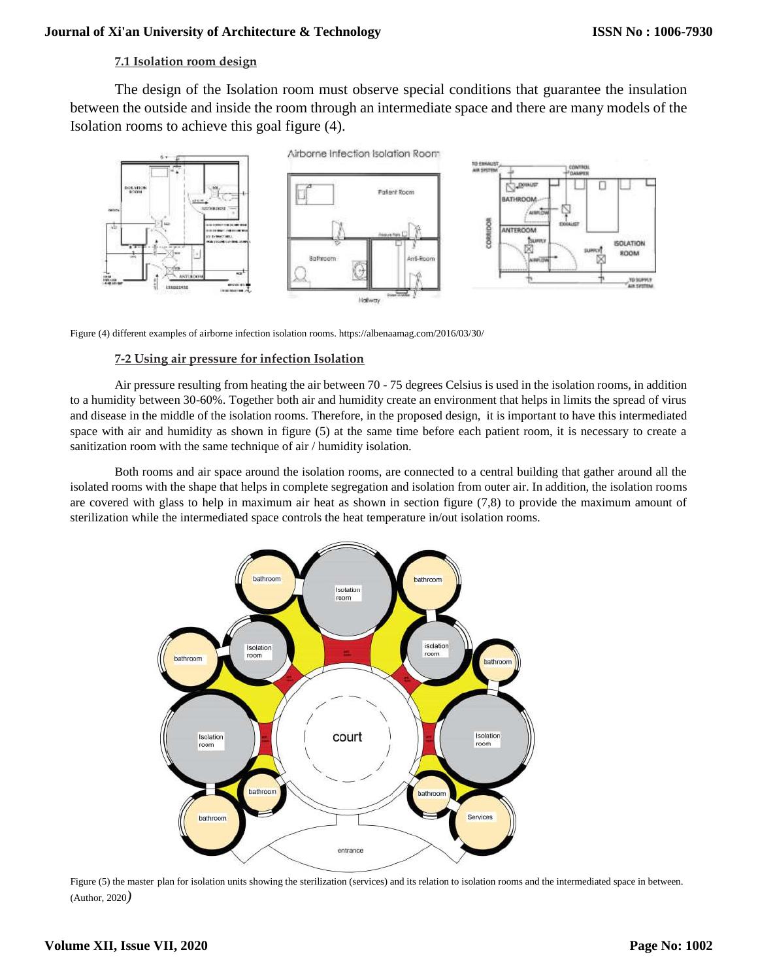# **7.1 Isolation room design**

The design of the Isolation room must observe special conditions that guarantee the insulation between the outside and inside the room through an intermediate space and there are many models of the Isolation rooms to achieve this goal figure (4).



Figure (4) different examples of airborne infection isolation rooms.<https://albenaamag.com/2016/03/30/>

#### **7-2 Using air pressure for infection Isolation**

Air pressure resulting from heating the air between 70 - 75 degrees Celsius is used in the isolation rooms, in addition to a humidity between 30-60%. Together both air and humidity create an environment that helps in limits the spread of virus and disease in the middle of the isolation rooms. Therefore, in the proposed design, it is important to have this intermediated space with air and humidity as shown in figure (5) at the same time before each patient room, it is necessary to create a sanitization room with the same technique of air / humidity isolation.

Both rooms and air space around the isolation rooms, are connected to a central building that gather around all the isolated rooms with the shape that helps in complete segregation and isolation from outer air. In addition, the isolation rooms are covered with glass to help in maximum air heat as shown in section figure (7,8) to provide the maximum amount of sterilization while the intermediated space controls the heat temperature in/out isolation rooms.



Figure (5) the master plan for isolation units showing the sterilization (services) and its relation to isolation rooms and the intermediated space in between. (Author, 2020*)*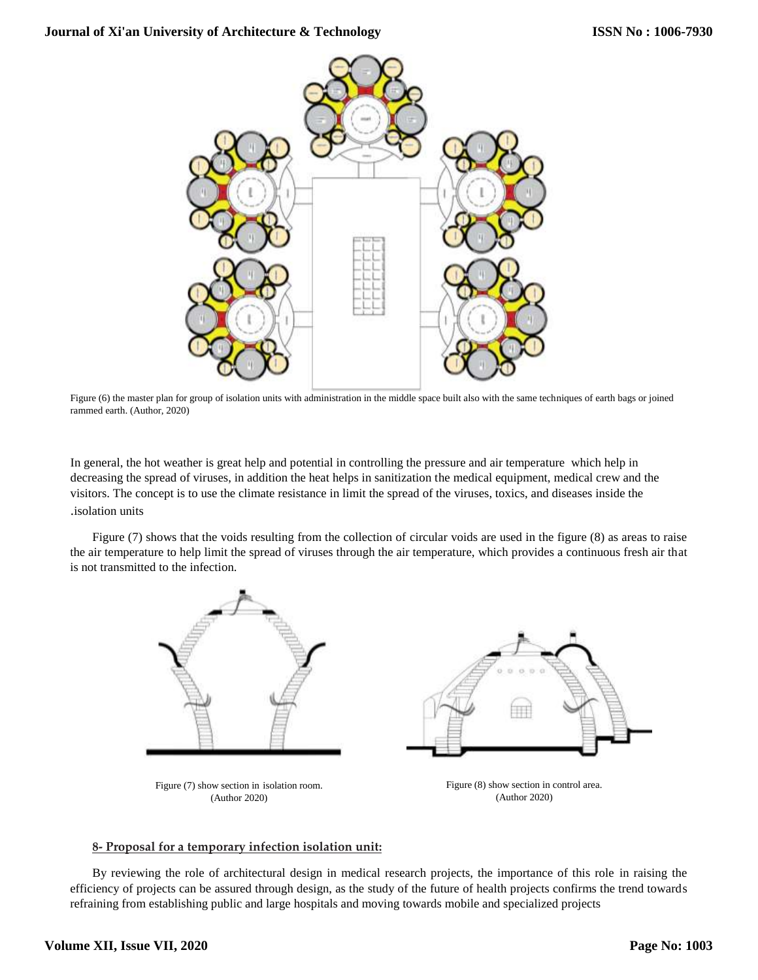

Figure (6) the master plan for group of isolation units with administration in the middle space built also with the same techniques of earth bags or joined rammed earth. (Author, 2020)

In general, the hot weather is great help and potential in controlling the pressure and air temperature which help in decreasing the spread of viruses, in addition the heat helps in sanitization the medical equipment, medical crew and the visitors. The concept is to use the climate resistance in limit the spread of the viruses, toxics, and diseases inside the .isolation units

Figure (7) shows that the voids resulting from the collection of circular voids are used in the figure (8) as areas to raise the air temperature to help limit the spread of viruses through the air temperature, which provides a continuous fresh air that is not transmitted to the infection.



## **8- Proposal for a temporary infection isolation unit:**

By reviewing the role of architectural design in medical research projects, the importance of this role in raising the efficiency of projects can be assured through design, as the study of the future of health projects confirms the trend towards refraining from establishing public and large hospitals and moving towards mobile and specialized projects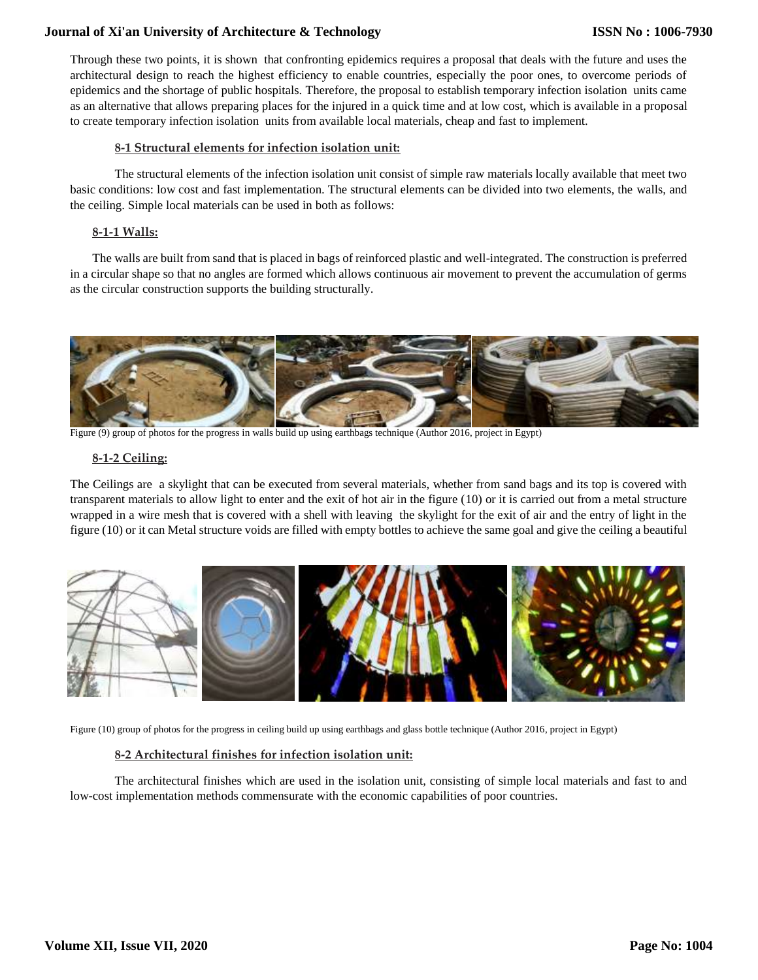Through these two points, it is shown that confronting epidemics requires a proposal that deals with the future and uses the architectural design to reach the highest efficiency to enable countries, especially the poor ones, to overcome periods of epidemics and the shortage of public hospitals. Therefore, the proposal to establish temporary infection isolation units came as an alternative that allows preparing places for the injured in a quick time and at low cost, which is available in a proposal to create temporary infection isolation units from available local materials, cheap and fast to implement.

#### **8-1 Structural elements for infection isolation unit:**

The structural elements of the infection isolation unit consist of simple raw materials locally available that meet two basic conditions: low cost and fast implementation. The structural elements can be divided into two elements, the walls, and the ceiling. Simple local materials can be used in both as follows:

### **8-1-1 Walls:**

The walls are built from sand that is placed in bags of reinforced plastic and well-integrated. The construction is preferred in a circular shape so that no angles are formed which allows continuous air movement to prevent the accumulation of germs as the circular construction supports the building structurally.



Figure (9) group of photos for the progress in walls build up using earthbags technique (Author 2016, project in Egypt)

#### **8-1-2 Ceiling:**

The Ceilings are a skylight that can be executed from several materials, whether from sand bags and its top is covered with transparent materials to allow light to enter and the exit of hot air in the figure (10) or it is carried out from a metal structure wrapped in a wire mesh that is covered with a shell with leaving the skylight for the exit of air and the entry of light in the figure (10) or it can Metal structure voids are filled with empty bottles to achieve the same goal and give the ceiling a beautiful



Figure (10) group of photos for the progress in ceiling build up using earthbags and glass bottle technique (Author 2016, project in Egypt)

## **8-2 Architectural finishes for infection isolation unit:**

The architectural finishes which are used in the isolation unit, consisting of simple local materials and fast to and low-cost implementation methods commensurate with the economic capabilities of poor countries.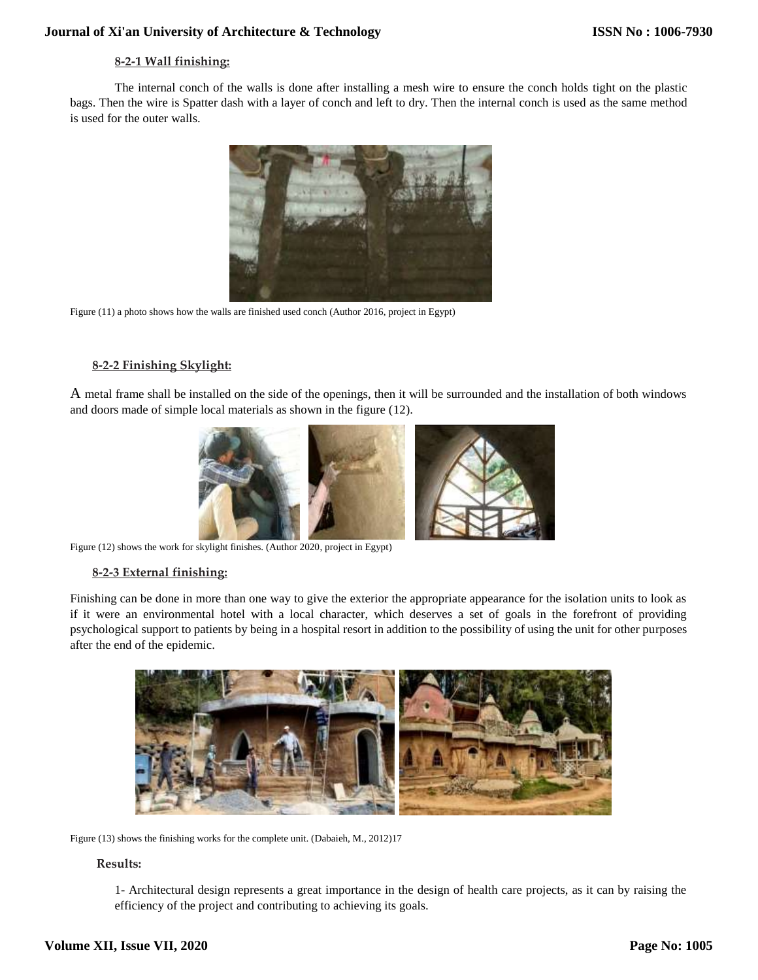# **8-2-1 Wall finishing:**

The internal conch of the walls is done after installing a mesh wire to ensure the conch holds tight on the plastic bags. Then the wire is Spatter dash with a layer of conch and left to dry. Then the internal conch is used as the same method is used for the outer walls.



Figure (11) a photo shows how the walls are finished used conch (Author 2016, project in Egypt)

# **8-2-2 Finishing Skylight:**

A metal frame shall be installed on the side of the openings, then it will be surrounded and the installation of both windows and doors made of simple local materials as shown in the figure (12).



Figure (12) shows the work for skylight finishes. (Author 2020, project in Egypt)

## **8-2-3 External finishing:**

Finishing can be done in more than one way to give the exterior the appropriate appearance for the isolation units to look as if it were an environmental hotel with a local character, which deserves a set of goals in the forefront of providing psychological support to patients by being in a hospital resort in addition to the possibility of using the unit for other purposes after the end of the epidemic.



Figure (13) shows the finishing works for the complete unit. (Dabaieh, M., 2012)17

## **Results:**

1- Architectural design represents a great importance in the design of health care projects, as it can by raising the efficiency of the project and contributing to achieving its goals.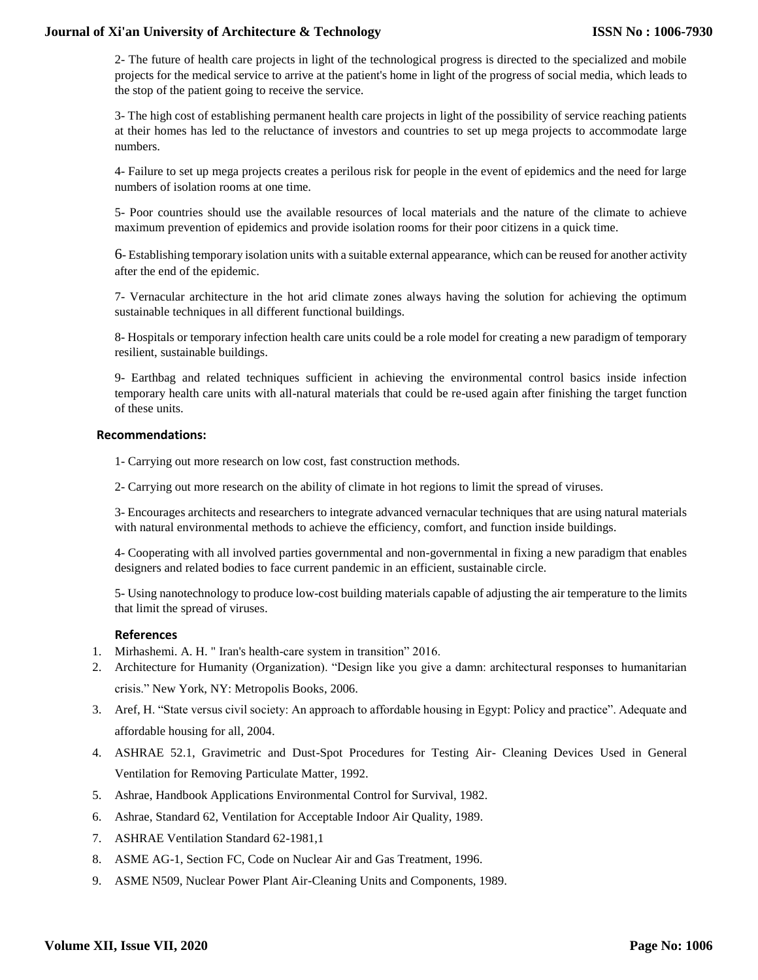2- The future of health care projects in light of the technological progress is directed to the specialized and mobile projects for the medical service to arrive at the patient's home in light of the progress of social media, which leads to the stop of the patient going to receive the service.

3- The high cost of establishing permanent health care projects in light of the possibility of service reaching patients at their homes has led to the reluctance of investors and countries to set up mega projects to accommodate large numbers.

4- Failure to set up mega projects creates a perilous risk for people in the event of epidemics and the need for large numbers of isolation rooms at one time.

5- Poor countries should use the available resources of local materials and the nature of the climate to achieve maximum prevention of epidemics and provide isolation rooms for their poor citizens in a quick time.

6- Establishing temporary isolation units with a suitable external appearance, which can be reused for another activity after the end of the epidemic.

7- Vernacular architecture in the hot arid climate zones always having the solution for achieving the optimum sustainable techniques in all different functional buildings.

8- Hospitals or temporary infection health care units could be a role model for creating a new paradigm of temporary resilient, sustainable buildings.

9- Earthbag and related techniques sufficient in achieving the environmental control basics inside infection temporary health care units with all-natural materials that could be re-used again after finishing the target function of these units.

#### **Recommendations:**

- 1- Carrying out more research on low cost, fast construction methods.
- 2- Carrying out more research on the ability of climate in hot regions to limit the spread of viruses.

3- Encourages architects and researchers to integrate advanced vernacular techniques that are using natural materials with natural environmental methods to achieve the efficiency, comfort, and function inside buildings.

4- Cooperating with all involved parties governmental and non-governmental in fixing a new paradigm that enables designers and related bodies to face current pandemic in an efficient, sustainable circle.

5- Using nanotechnology to produce low-cost building materials capable of adjusting the air temperature to the limits that limit the spread of viruses.

#### **References**

- 1. Mirhashemi. A. H. " Iran's health-care system in transition" 2016.
- 2. Architecture for Humanity (Organization). "Design like you give a damn: architectural responses to humanitarian crisis." New York, NY: Metropolis Books, 2006.
- 3. Aref, H. "State versus civil society: An approach to affordable housing in Egypt: Policy and practice". Adequate and affordable housing for all, 2004.
- 4. ASHRAE 52.1, Gravimetric and Dust-Spot Procedures for Testing Air- Cleaning Devices Used in General Ventilation for Removing Particulate Matter, 1992.
- 5. Ashrae, Handbook Applications Environmental Control for Survival, 1982.
- 6. Ashrae, Standard 62, Ventilation for Acceptable Indoor Air Quality, 1989.
- 7. ASHRAE Ventilation Standard 62-1981,1
- 8. ASME AG-1, Section FC, Code on Nuclear Air and Gas Treatment, 1996.
- 9. ASME N509, Nuclear Power Plant Air-Cleaning Units and Components, 1989.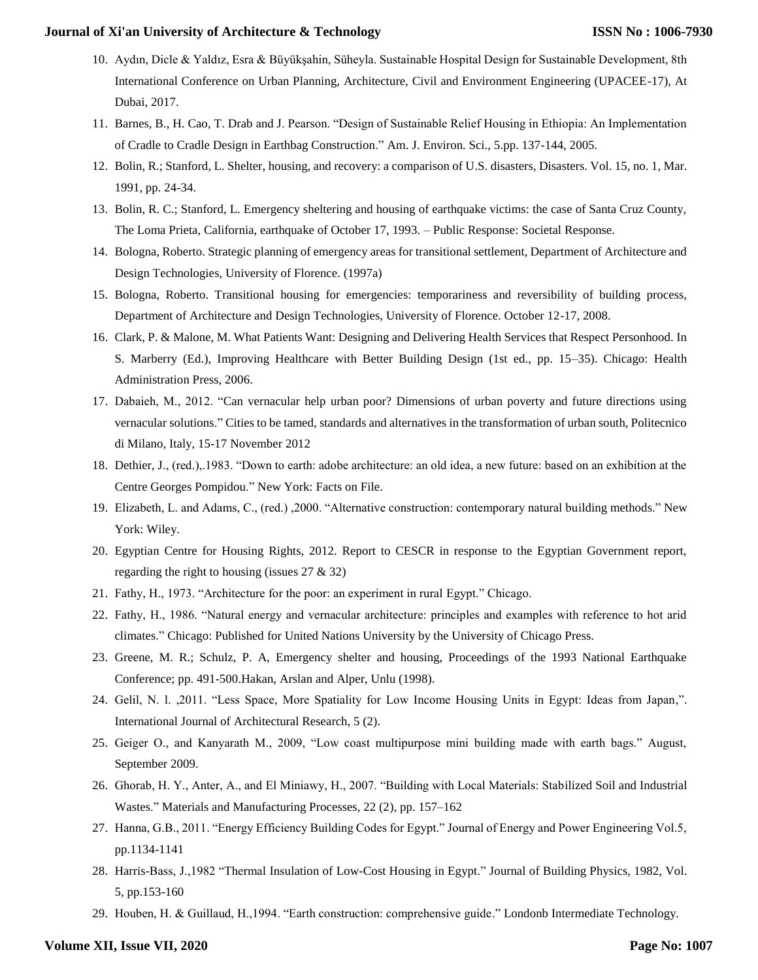- 10. Aydın, Dicle & Yaldız, Esra & Büyükşahin, Süheyla. Sustainable Hospital Design for Sustainable Development, 8th International Conference on Urban Planning, Architecture, Civil and Environment Engineering (UPACEE-17), At Dubai, 2017.
- 11. Barnes, B., H. Cao, T. Drab and J. Pearson. "Design of Sustainable Relief Housing in Ethiopia: An Implementation of Cradle to Cradle Design in Earthbag Construction." Am. J. Environ. Sci., 5.pp. 137-144, 2005.
- 12. Bolin, R.; Stanford, L. Shelter, housing, and recovery: a comparison of U.S. disasters, Disasters. Vol. 15, no. 1, Mar. 1991, pp. 24-34.
- 13. Bolin, R. C.; Stanford, L. Emergency sheltering and housing of earthquake victims: the case of Santa Cruz County, The Loma Prieta, California, earthquake of October 17, 1993. – Public Response: Societal Response.
- 14. Bologna, Roberto. Strategic planning of emergency areas for transitional settlement, Department of Architecture and Design Technologies, University of Florence. (1997a)
- 15. Bologna, Roberto. Transitional housing for emergencies: temporariness and reversibility of building process, Department of Architecture and Design Technologies, University of Florence. October 12-17, 2008.
- 16. Clark, P. & Malone, M. What Patients Want: Designing and Delivering Health Services that Respect Personhood. In S. Marberry (Ed.), Improving Healthcare with Better Building Design (1st ed., pp. 15–35). Chicago: Health Administration Press, 2006.
- 17. Dabaieh, M., 2012. "Can vernacular help urban poor? Dimensions of urban poverty and future directions using vernacular solutions." Cities to be tamed, standards and alternatives in the transformation of urban south, Politecnico di Milano, Italy, 15-17 November 2012
- 18. Dethier, J., (red.),.1983. "Down to earth: adobe architecture: an old idea, a new future: based on an exhibition at the Centre Georges Pompidou." New York: Facts on File.
- 19. Elizabeth, L. and Adams, C., (red.) ,2000. "Alternative construction: contemporary natural building methods." New York: Wiley.
- 20. Egyptian Centre for Housing Rights, 2012. Report to CESCR in response to the Egyptian Government report, regarding the right to housing (issues 27 & 32)
- 21. Fathy, H., 1973. "Architecture for the poor: an experiment in rural Egypt." Chicago.
- 22. Fathy, H., 1986. "Natural energy and vernacular architecture: principles and examples with reference to hot arid climates." Chicago: Published for United Nations University by the University of Chicago Press.
- 23. Greene, M. R.; Schulz, P. A, Emergency shelter and housing, Proceedings of the 1993 National Earthquake Conference; pp. 491-500.Hakan, Arslan and Alper, Unlu (1998).
- 24. Gelil, N. l. ,2011. "Less Space, More Spatiality for Low Income Housing Units in Egypt: Ideas from Japan,". International Journal of Architectural Research, 5 (2).
- 25. Geiger O., and Kanyarath M., 2009, "Low coast multipurpose mini building made with earth bags." August, September 2009.
- 26. Ghorab, H. Y., Anter, A., and El Miniawy, H., 2007. "Building with Local Materials: Stabilized Soil and Industrial Wastes." Materials and Manufacturing Processes, 22 (2), pp. 157–162
- 27. Hanna, G.B., 2011. "Energy Efficiency Building Codes for Egypt." Journal of Energy and Power Engineering Vol.5, pp.1134-1141
- 28. Harris-Bass, J.,1982 "Thermal Insulation of Low-Cost Housing in Egypt." Journal of Building Physics, 1982, Vol. 5, pp.153-160
- 29. Houben, H. & Guillaud, H.,1994. "Earth construction: comprehensive guide." Londonb Intermediate Technology.